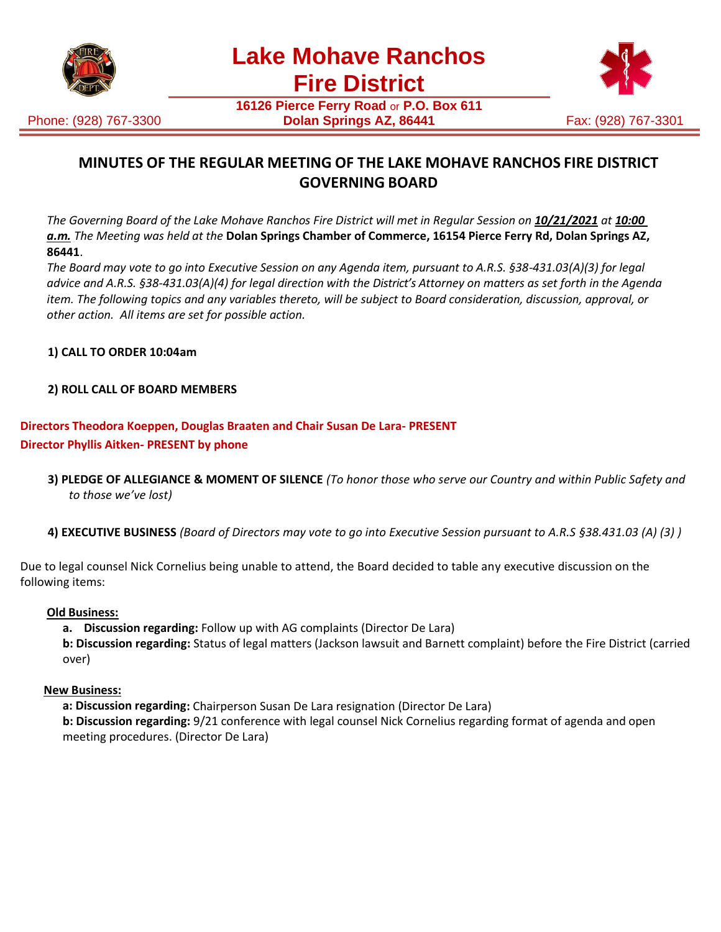

Phone: (928) 767-3300



**16126 Pierce Ferry Road** or **P.O. Box 611 Dolan Springs AZ, 86441 Fax: (928) 767-3301** 

# **MINUTES OF THE REGULAR MEETING OF THE LAKE MOHAVE RANCHOS FIRE DISTRICT GOVERNING BOARD**

*The Governing Board of the Lake Mohave Ranchos Fire District will met in Regular Session on 10/21/2021 at 10:00 a.m. The Meeting was held at the* **Dolan Springs Chamber of Commerce, 16154 Pierce Ferry Rd, Dolan Springs AZ, 86441**.

*The Board may vote to go into Executive Session on any Agenda item, pursuant to A.R.S. §38-431.03(A)(3) for legal*  advice and A.R.S. §38-431.03(A)(4) for legal direction with the District's Attorney on matters as set forth in the Agenda *item. The following topics and any variables thereto, will be subject to Board consideration, discussion, approval, or other action. All items are set for possible action.*

### **1) CALL TO ORDER 10:04am**

#### **2) ROLL CALL OF BOARD MEMBERS**

## **Directors Theodora Koeppen, Douglas Braaten and Chair Susan De Lara- PRESENT Director Phyllis Aitken- PRESENT by phone**

- **3) PLEDGE OF ALLEGIANCE & MOMENT OF SILENCE** *(To honor those who serve our Country and within Public Safety and to those we've lost)*
- **4) EXECUTIVE BUSINESS** *(Board of Directors may vote to go into Executive Session pursuant to A.R.S §38.431.03 (A) (3) )*

Due to legal counsel Nick Cornelius being unable to attend, the Board decided to table any executive discussion on the following items:

#### **Old Business:**

**a. Discussion regarding:** Follow up with AG complaints (Director De Lara)

**b: Discussion regarding:** Status of legal matters (Jackson lawsuit and Barnett complaint) before the Fire District (carried over)

#### **New Business:**

**a: Discussion regarding:** Chairperson Susan De Lara resignation (Director De Lara)

**b: Discussion regarding:** 9/21 conference with legal counsel Nick Cornelius regarding format of agenda and open meeting procedures. (Director De Lara)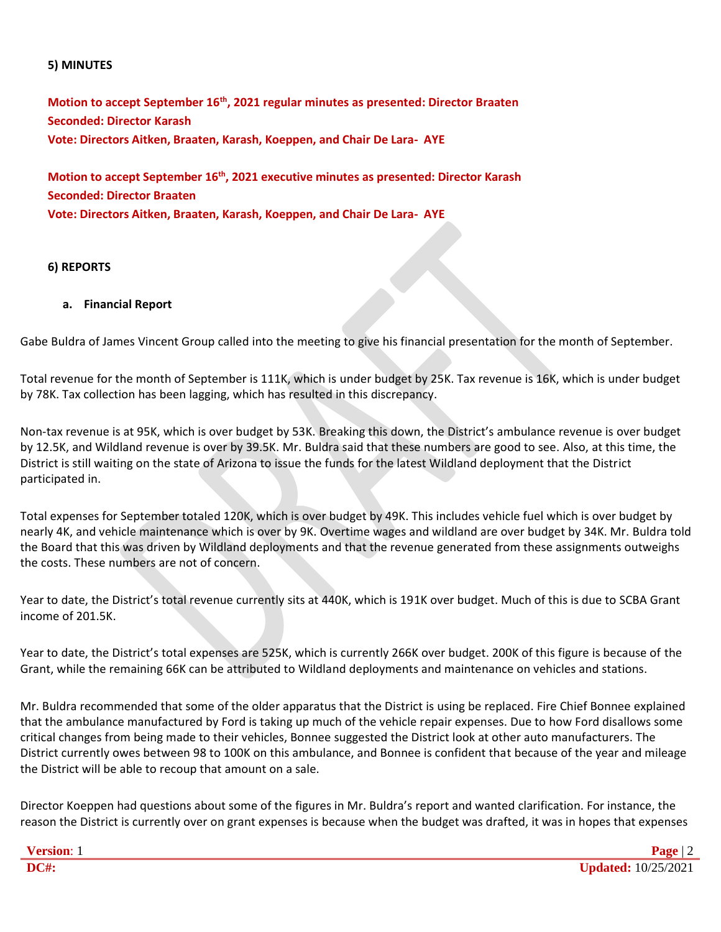#### **5) MINUTES**

**Motion to accept September 16th, 2021 regular minutes as presented: Director Braaten Seconded: Director Karash Vote: Directors Aitken, Braaten, Karash, Koeppen, and Chair De Lara- AYE**

**Motion to accept September 16th, 2021 executive minutes as presented: Director Karash Seconded: Director Braaten Vote: Directors Aitken, Braaten, Karash, Koeppen, and Chair De Lara- AYE**

#### **6) REPORTS**

#### **a. Financial Report**

Gabe Buldra of James Vincent Group called into the meeting to give his financial presentation for the month of September.

Total revenue for the month of September is 111K, which is under budget by 25K. Tax revenue is 16K, which is under budget by 78K. Tax collection has been lagging, which has resulted in this discrepancy.

Non-tax revenue is at 95K, which is over budget by 53K. Breaking this down, the District's ambulance revenue is over budget by 12.5K, and Wildland revenue is over by 39.5K. Mr. Buldra said that these numbers are good to see. Also, at this time, the District is still waiting on the state of Arizona to issue the funds for the latest Wildland deployment that the District participated in.

Total expenses for September totaled 120K, which is over budget by 49K. This includes vehicle fuel which is over budget by nearly 4K, and vehicle maintenance which is over by 9K. Overtime wages and wildland are over budget by 34K. Mr. Buldra told the Board that this was driven by Wildland deployments and that the revenue generated from these assignments outweighs the costs. These numbers are not of concern.

Year to date, the District's total revenue currently sits at 440K, which is 191K over budget. Much of this is due to SCBA Grant income of 201.5K.

Year to date, the District's total expenses are 525K, which is currently 266K over budget. 200K of this figure is because of the Grant, while the remaining 66K can be attributed to Wildland deployments and maintenance on vehicles and stations.

Mr. Buldra recommended that some of the older apparatus that the District is using be replaced. Fire Chief Bonnee explained that the ambulance manufactured by Ford is taking up much of the vehicle repair expenses. Due to how Ford disallows some critical changes from being made to their vehicles, Bonnee suggested the District look at other auto manufacturers. The District currently owes between 98 to 100K on this ambulance, and Bonnee is confident that because of the year and mileage the District will be able to recoup that amount on a sale.

Director Koeppen had questions about some of the figures in Mr. Buldra's report and wanted clarification. For instance, the reason the District is currently over on grant expenses is because when the budget was drafted, it was in hopes that expenses

| <b>Version:</b> |                            |
|-----------------|----------------------------|
| <b>DC#:</b>     | <b>Updated:</b> 10/25/2021 |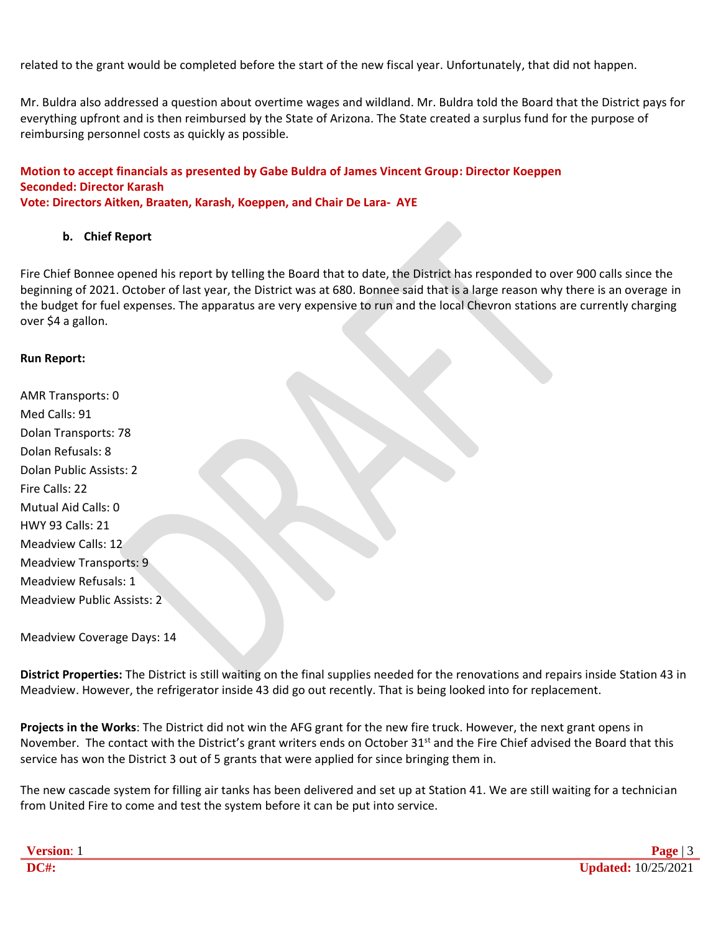related to the grant would be completed before the start of the new fiscal year. Unfortunately, that did not happen.

Mr. Buldra also addressed a question about overtime wages and wildland. Mr. Buldra told the Board that the District pays for everything upfront and is then reimbursed by the State of Arizona. The State created a surplus fund for the purpose of reimbursing personnel costs as quickly as possible.

## **Motion to accept financials as presented by Gabe Buldra of James Vincent Group: Director Koeppen Seconded: Director Karash**

#### **Vote: Directors Aitken, Braaten, Karash, Koeppen, and Chair De Lara- AYE**

#### **b. Chief Report**

Fire Chief Bonnee opened his report by telling the Board that to date, the District has responded to over 900 calls since the beginning of 2021. October of last year, the District was at 680. Bonnee said that is a large reason why there is an overage in the budget for fuel expenses. The apparatus are very expensive to run and the local Chevron stations are currently charging over \$4 a gallon.

#### **Run Report:**

AMR Transports: 0 Med Calls: 91 Dolan Transports: 78 Dolan Refusals: 8 Dolan Public Assists: 2 Fire Calls: 22 Mutual Aid Calls: 0 HWY 93 Calls: 21 Meadview Calls: 12 Meadview Transports: 9 Meadview Refusals: 1 Meadview Public Assists: 2

Meadview Coverage Days: 14

**District Properties:** The District is still waiting on the final supplies needed for the renovations and repairs inside Station 43 in Meadview. However, the refrigerator inside 43 did go out recently. That is being looked into for replacement.

**Projects in the Works**: The District did not win the AFG grant for the new fire truck. However, the next grant opens in November. The contact with the District's grant writers ends on October 31<sup>st</sup> and the Fire Chief advised the Board that this service has won the District 3 out of 5 grants that were applied for since bringing them in.

The new cascade system for filling air tanks has been delivered and set up at Station 41. We are still waiting for a technician from United Fire to come and test the system before it can be put into service.

| <b>Version:</b> |                     |
|-----------------|---------------------|
| DC#:            | Updated: 10/25/2021 |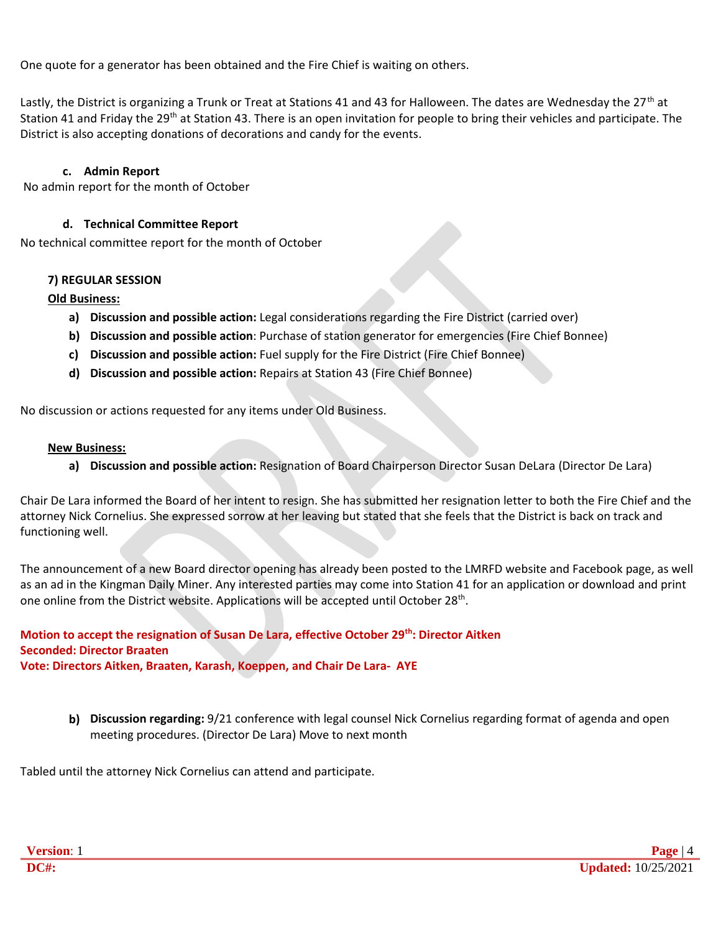One quote for a generator has been obtained and the Fire Chief is waiting on others.

Lastly, the District is organizing a Trunk or Treat at Stations 41 and 43 for Halloween. The dates are Wednesday the 27<sup>th</sup> at Station 41 and Friday the 29<sup>th</sup> at Station 43. There is an open invitation for people to bring their vehicles and participate. The District is also accepting donations of decorations and candy for the events.

#### **c. Admin Report**

No admin report for the month of October

#### **d. Technical Committee Report**

No technical committee report for the month of October

#### **7) REGULAR SESSION**

#### **Old Business:**

- **a) Discussion and possible action:** Legal considerations regarding the Fire District (carried over)
- **b) Discussion and possible action**: Purchase of station generator for emergencies (Fire Chief Bonnee)
- **c) Discussion and possible action:** Fuel supply for the Fire District (Fire Chief Bonnee)
- **d) Discussion and possible action:** Repairs at Station 43 (Fire Chief Bonnee)

No discussion or actions requested for any items under Old Business.

#### **New Business:**

**a) Discussion and possible action:** Resignation of Board Chairperson Director Susan DeLara (Director De Lara)

Chair De Lara informed the Board of her intent to resign. She has submitted her resignation letter to both the Fire Chief and the attorney Nick Cornelius. She expressed sorrow at her leaving but stated that she feels that the District is back on track and functioning well.

The announcement of a new Board director opening has already been posted to the LMRFD website and Facebook page, as well as an ad in the Kingman Daily Miner. Any interested parties may come into Station 41 for an application or download and print one online from the District website. Applications will be accepted until October 28<sup>th</sup>.

**Motion to accept the resignation of Susan De Lara, effective October 29th: Director Aitken Seconded: Director Braaten Vote: Directors Aitken, Braaten, Karash, Koeppen, and Chair De Lara- AYE**

**b) Discussion regarding:** 9/21 conference with legal counsel Nick Cornelius regarding format of agenda and open meeting procedures. (Director De Lara) Move to next month

Tabled until the attorney Nick Cornelius can attend and participate.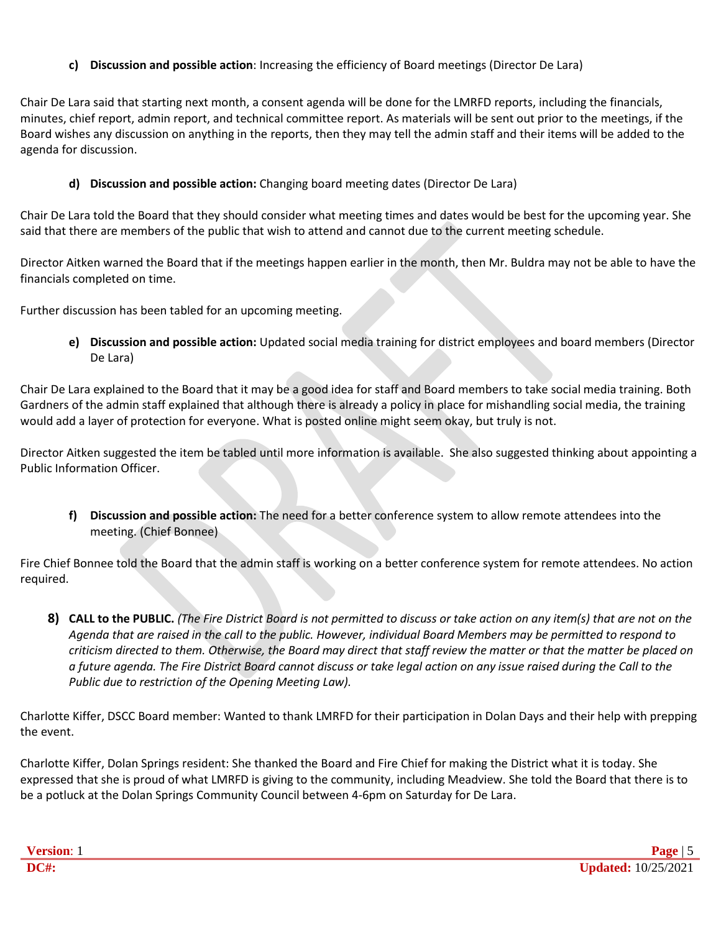## **c) Discussion and possible action**: Increasing the efficiency of Board meetings (Director De Lara)

Chair De Lara said that starting next month, a consent agenda will be done for the LMRFD reports, including the financials, minutes, chief report, admin report, and technical committee report. As materials will be sent out prior to the meetings, if the Board wishes any discussion on anything in the reports, then they may tell the admin staff and their items will be added to the agenda for discussion.

**d) Discussion and possible action:** Changing board meeting dates (Director De Lara)

Chair De Lara told the Board that they should consider what meeting times and dates would be best for the upcoming year. She said that there are members of the public that wish to attend and cannot due to the current meeting schedule.

Director Aitken warned the Board that if the meetings happen earlier in the month, then Mr. Buldra may not be able to have the financials completed on time.

Further discussion has been tabled for an upcoming meeting.

**e) Discussion and possible action:** Updated social media training for district employees and board members (Director De Lara)

Chair De Lara explained to the Board that it may be a good idea for staff and Board members to take social media training. Both Gardners of the admin staff explained that although there is already a policy in place for mishandling social media, the training would add a layer of protection for everyone. What is posted online might seem okay, but truly is not.

Director Aitken suggested the item be tabled until more information is available. She also suggested thinking about appointing a Public Information Officer.

**f) Discussion and possible action:** The need for a better conference system to allow remote attendees into the meeting. (Chief Bonnee)

Fire Chief Bonnee told the Board that the admin staff is working on a better conference system for remote attendees. No action required.

8) CALL to the PUBLIC. (The Fire District Board is not permitted to discuss or take action on any item(s) that are not on the *Agenda that are raised in the call to the public. However, individual Board Members may be permitted to respond to criticism directed to them. Otherwise, the Board may direct that staff review the matter or that the matter be placed on a future agenda. The Fire District Board cannot discuss or take legal action on any issue raised during the Call to the Public due to restriction of the Opening Meeting Law).*

Charlotte Kiffer, DSCC Board member: Wanted to thank LMRFD for their participation in Dolan Days and their help with prepping the event.

Charlotte Kiffer, Dolan Springs resident: She thanked the Board and Fire Chief for making the District what it is today. She expressed that she is proud of what LMRFD is giving to the community, including Meadview. She told the Board that there is to be a potluck at the Dolan Springs Community Council between 4-6pm on Saturday for De Lara.